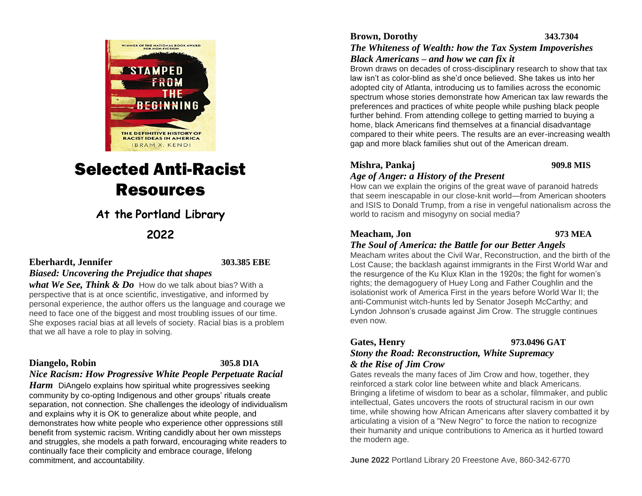

# Selected Anti-Racist Resources

# **At the Portland Library**

## **2022**

#### **Eberhardt, Jennifer 303.385 EBE**

### *Biased: Uncovering the Prejudice that shapes*

*what We See, Think & Do* How do we talk about bias? With a perspective that is at once scientific, investigative, and informed by personal experience, the author offers us the language and courage we need to face one of the biggest and most troubling issues of our time. She exposes racial bias at all levels of society. Racial bias is a problem that we all have a role to play in solving.

#### **Diangelo, Robin****305.8 DIA**

## *Nice Racism: How Progressive White People Perpetuate Racial*

*Harm* DiAngelo explains how spiritual white progressives seeking community by co-opting Indigenous and other groups' rituals create separation, not connection. She challenges the ideology of individualism and explains why it is OK to generalize about white people, and demonstrates how white people who experience other oppressions still benefit from systemic racism. Writing candidly about her own missteps and struggles, she models a path forward, encouraging white readers to continually face their complicity and embrace courage, lifelong commitment, and accountability.

# **Brown, Dorothy 343.7304** *The Whiteness of Wealth: how the Tax System Impoverishes*

*Black Americans – and how we can fix it* 

Brown draws on decades of cross-disciplinary research to show that tax law isn't as color-blind as she'd once believed. She takes us into her adopted city of Atlanta, introducing us to families across the economic spectrum whose stories demonstrate how American tax law rewards the preferences and practices of white people while pushing black people further behind. From attending college to getting married to buying a home, black Americans find themselves at a financial disadvantage compared to their white peers. The results are an ever-increasing wealth gap and more black families shut out of the American dream.

### **Mishra, Pankaj 909.8 MIS**

#### *Age of Anger: a History of the Present*

How can we explain the origins of the great wave of paranoid hatreds that seem inescapable in our close-knit world―from American shooters and ISIS to Donald Trump, from a rise in vengeful nationalism across the world to racism and misogyny on social media?

#### **Meacham, Jon 973 MEA**

#### *The Soul of America: the Battle for our Better Angels*

Meacham writes about the Civil War, Reconstruction, and the birth of the Lost Cause; the backlash against immigrants in the First World War and the resurgence of the Ku Klux Klan in the 1920s; the fight for women's rights; the demagoguery of Huey Long and Father Coughlin and the isolationist work of America First in the years before World War II; the anti-Communist witch-hunts led by Senator Joseph McCarthy; and Lyndon Johnson's crusade against Jim Crow. The struggle continues even now.

#### **Gates, Henry 973.0496 GAT**

#### *Stony the Road: Reconstruction, White Supremacy & the Rise of Jim Crow*

Gates reveals the many faces of Jim Crow and how, together, they reinforced a stark color line between white and black Americans. Bringing a lifetime of wisdom to bear as a scholar, filmmaker, and public intellectual, Gates uncovers the roots of structural racism in our own time, while showing how African Americans after slavery combatted it by articulating a vision of a "New Negro" to force the nation to recognize their humanity and unique contributions to America as it hurtled toward the modern age.

**June 2022** Portland Library 20 Freestone Ave, 860-342-6770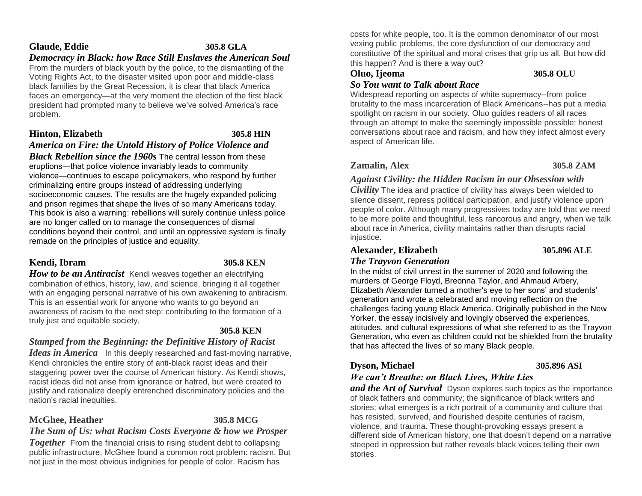### **Glaude, Eddie 305.8 GLA**

### *Democracy in Black: how Race Still Enslaves the American Soul*

From the murders of black youth by the police, to the dismantling of the Voting Rights Act, to the disaster visited upon poor and middle-class black families by the Great Recession, it is clear that black America faces an emergency—at the very moment the election of the first black president had prompted many to believe we've solved America's race problem.

## **Hinton, Elizabeth 305.8 HIN**

### *America on Fire: the Untold History of Police Violence and*

*Black Rebellion since the 1960s* The central lesson from these eruptions―that police violence invariably leads to community violence―continues to escape policymakers, who respond by further criminalizing entire groups instead of addressing underlying socioeconomic causes. The results are the hugely expanded policing and prison regimes that shape the lives of so many Americans today. This book is also a warning: rebellions will surely continue unless police are no longer called on to manage the consequences of dismal conditions beyond their control, and until an oppressive system is finally remade on the principles of justice and equality.

### **Kendi, Ibram 305.8 KEN**

*How to be an Antiracist* Kendi weaves together an electrifying combination of ethics, history, law, and science, bringing it all together with an engaging personal narrative of his own awakening to antiracism. This is an essential work for anyone who wants to go beyond an awareness of racism to the next step: contributing to the formation of a truly just and equitable society.

#### **305.8 KEN**

### *Stamped from the Beginning: the Definitive History of Racist*

*Ideas in America* In this deeply researched and fast-moving narrative, Kendi chronicles the entire story of anti-black racist ideas and their staggering power over the course of American history. As Kendi shows, racist ideas did not arise from ignorance or hatred, but were created to justify and rationalize deeply entrenched discriminatory policies and the nation's racial inequities.

### **McGhee, Heather 305.8 MCG**

*The Sum of Us: what Racism Costs Everyone & how we Prosper* 

**Together** From the financial crisis to rising student debt to collapsing public infrastructure, McGhee found a common root problem: racism. But not just in the most obvious indignities for people of color. Racism has

costs for white people, too. It is the common denominator of our most vexing public problems, the core dysfunction of our democracy and constitutive of the spiritual and moral crises that grip us all. But how did this happen? And is there a way out?

#### **Oluo, Ijeoma 305.8 OLU**

#### *So You want to Talk about Race*

Widespread reporting on aspects of white supremacy--from police brutality to the mass incarceration of Black Americans--has put a media spotlight on racism in our society. Oluo guides readers of all races through an attempt to make the seemingly impossible possible: honest conversations about race and racism, and how they infect almost every aspect of American life.

### **Zamalin, Alex 305.8 ZAM**

### *Against Civility: the Hidden Racism in our Obsession with*

*Civility* The idea and practice of civility has always been wielded to silence dissent, repress political participation, and justify violence upon people of color. Although many progressives today are told that we need to be more polite and thoughtful, less rancorous and angry, when we talk about race in America, civility maintains rather than disrupts racial injustice.

## **Alexander, Elizabeth 305.896 ALE**

#### *The Trayvon Generation*

In the midst of civil unrest in the summer of 2020 and following the murders of George Floyd, Breonna Taylor, and Ahmaud Arbery, Elizabeth Alexander turned a mother's eye to her sons' and students' generation and wrote a celebrated and moving reflection on the challenges facing young Black America. Originally published in the New Yorker, the essay incisively and lovingly observed the experiences, attitudes, and cultural expressions of what she referred to as the Trayvon Generation, who even as children could not be shielded from the brutality that has affected the lives of so many Black people.

### **Dyson, Michael 305.896 ASI**

### *We can't Breathe: on Black Lives, White Lies*

*and the Art of Survival* Dyson explores such topics as the importance of black fathers and community; the significance of black writers and stories; what emerges is a rich portrait of a community and culture that has resisted, survived, and flourished despite centuries of racism, violence, and trauma. These thought-provoking essays present a different side of American history, one that doesn't depend on a narrative steeped in oppression but rather reveals black voices telling their own stories.